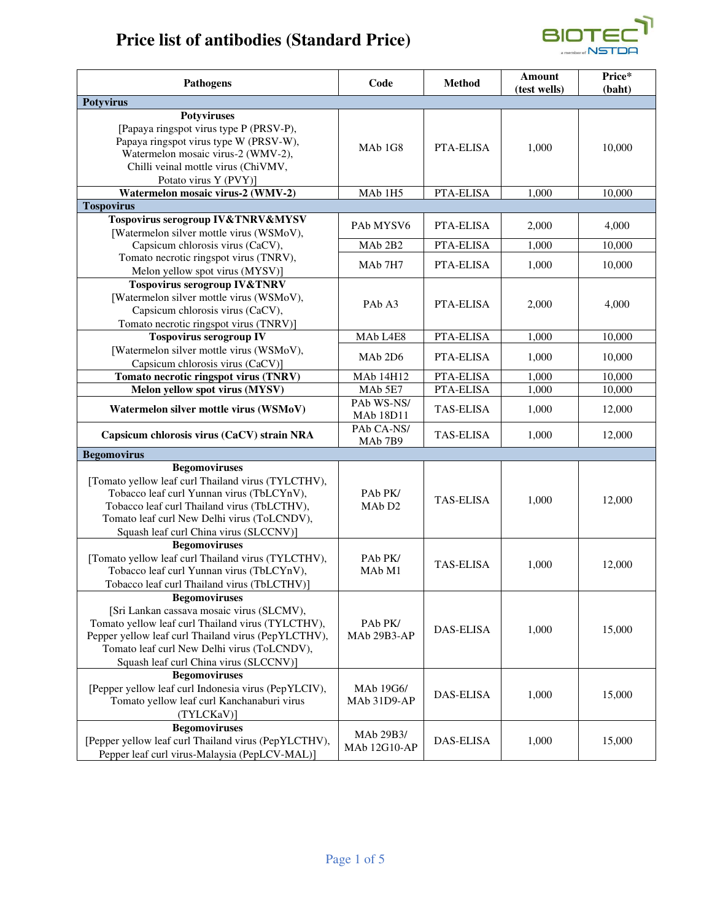# **Price list of antibodies (Standard Price)**



| <b>Pathogens</b>                                                                                                                                                                                                                               | Code                                                             | <b>Method</b>    | Amount<br>(test wells) | Price*<br>(baht) |
|------------------------------------------------------------------------------------------------------------------------------------------------------------------------------------------------------------------------------------------------|------------------------------------------------------------------|------------------|------------------------|------------------|
| <b>Potyvirus</b>                                                                                                                                                                                                                               |                                                                  |                  |                        |                  |
| <b>Potyviruses</b><br>[Papaya ringspot virus type P (PRSV-P),<br>Papaya ringspot virus type W (PRSV-W),<br>Watermelon mosaic virus-2 (WMV-2),<br>Chilli veinal mottle virus (ChiVMV,<br>Potato virus Y (PVY)]                                  | MA <sub>b</sub> 1G <sub>8</sub>                                  | <b>PTA-ELISA</b> | 1,000                  | 10,000           |
| Watermelon mosaic virus-2 (WMV-2)                                                                                                                                                                                                              | MAb <sub>1H5</sub>                                               | PTA-ELISA        | 1,000                  | 10,000           |
| <b>Tospovirus</b>                                                                                                                                                                                                                              |                                                                  |                  |                        |                  |
| Tospovirus serogroup IV&TNRV&MYSV<br>[Watermelon silver mottle virus (WSMoV),                                                                                                                                                                  | PAb MYSV6                                                        | PTA-ELISA        | 2,000                  | 4,000            |
| Capsicum chlorosis virus (CaCV),                                                                                                                                                                                                               | MAb <sub>2B2</sub>                                               | PTA-ELISA        | 1,000                  | 10,000           |
| Tomato necrotic ringspot virus (TNRV),<br>Melon yellow spot virus (MYSV)]                                                                                                                                                                      | MAb <sub>7H7</sub>                                               | PTA-ELISA        | 1,000                  | 10,000           |
| <b>Tospovirus serogroup IV&amp;TNRV</b><br>[Watermelon silver mottle virus (WSMoV),<br>Capsicum chlorosis virus (CaCV),<br>Tomato necrotic ringspot virus (TNRV)]                                                                              | PAb A3                                                           | PTA-ELISA        | 2,000                  | 4,000            |
| <b>Tospovirus serogroup IV</b>                                                                                                                                                                                                                 | MAb L4E8                                                         | PTA-ELISA        | 1,000                  | 10,000           |
| [Watermelon silver mottle virus (WSMoV),<br>Capsicum chlorosis virus (CaCV)]                                                                                                                                                                   | MA <sub>b</sub> 2D <sub>6</sub>                                  | PTA-ELISA        | 1,000                  | 10,000           |
| Tomato necrotic ringspot virus (TNRV)                                                                                                                                                                                                          | MAb 14H12                                                        | PTA-ELISA        | 1,000                  | 10,000           |
| Melon yellow spot virus (MYSV)                                                                                                                                                                                                                 | MAb 5E7                                                          | PTA-ELISA        | 1,000                  | 10,000           |
| Watermelon silver mottle virus (WSMoV)                                                                                                                                                                                                         | PAb WS-NS/<br><b>MAb 18D11</b>                                   | <b>TAS-ELISA</b> | 1,000                  | 12,000           |
| Capsicum chlorosis virus (CaCV) strain NRA                                                                                                                                                                                                     | PAb CA-NS/<br>MAb <sub>7B9</sub>                                 | <b>TAS-ELISA</b> | 1,000                  | 12,000           |
| <b>Begomovirus</b>                                                                                                                                                                                                                             |                                                                  |                  |                        |                  |
| <b>Begomoviruses</b><br>[Tomato yellow leaf curl Thailand virus (TYLCTHV),<br>Tobacco leaf curl Yunnan virus (TbLCYnV),<br>Tobacco leaf curl Thailand virus (TbLCTHV),<br>Tomato leaf curl New Delhi virus (ToLCNDV),                          | PA <sub>b</sub> P <sub>K</sub><br>MA <sub>b</sub> D <sub>2</sub> | <b>TAS-ELISA</b> | 1,000                  | 12,000           |
| Squash leaf curl China virus (SLCCNV)]                                                                                                                                                                                                         |                                                                  |                  |                        |                  |
| <b>Begomoviruses</b><br>[Tomato yellow leaf curl Thailand virus (TYLCTHV),<br>Tobacco leaf curl Yunnan virus (TbLCYnV),<br>Tobacco leaf curl Thailand virus (TbLCTHV)]                                                                         | PAb PK/<br>MA <sub>b</sub> M <sub>1</sub>                        | <b>TAS-ELISA</b> | 1,000                  | 12,000           |
| <b>Begomoviruses</b>                                                                                                                                                                                                                           |                                                                  |                  |                        |                  |
| [Sri Lankan cassava mosaic virus (SLCMV),<br>Tomato yellow leaf curl Thailand virus (TYLCTHV),<br>Pepper yellow leaf curl Thailand virus (PepYLCTHV),<br>Tomato leaf curl New Delhi virus (ToLCNDV),<br>Squash leaf curl China virus (SLCCNV)] | PAb PK/<br>MAb 29B3-AP                                           | DAS-ELISA        | 1,000                  | 15,000           |
| <b>Begomoviruses</b><br>[Pepper yellow leaf curl Indonesia virus (PepYLCIV),<br>Tomato yellow leaf curl Kanchanaburi virus<br>(TYLCKaV)]                                                                                                       | MAb 19G6/<br>MAb 31D9-AP                                         | <b>DAS-ELISA</b> | 1,000                  | 15,000           |
| <b>Begomoviruses</b><br>[Pepper yellow leaf curl Thailand virus (PepYLCTHV),<br>Pepper leaf curl virus-Malaysia (PepLCV-MAL)]                                                                                                                  | MAb 29B3/<br>MAb 12G10-AP                                        | <b>DAS-ELISA</b> | 1,000                  | 15,000           |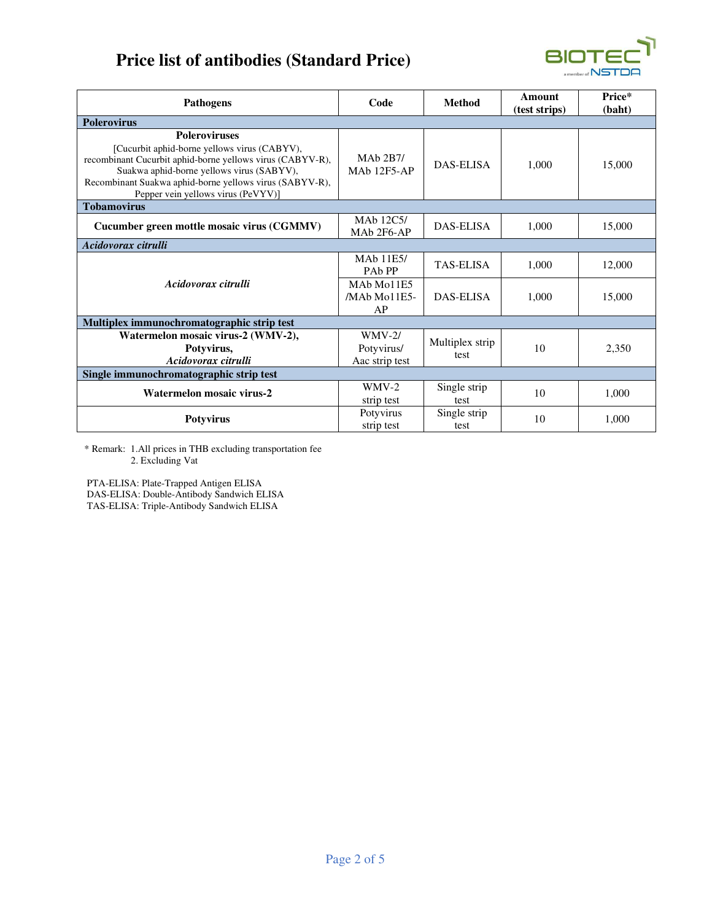## **Price list of antibodies (Standard Price)**



| <b>Pathogens</b>                                                                                                                                                                                                                                                                | Code                                                                      | <b>Method</b>           | Amount<br>(test strips) | Price*<br>(baht) |
|---------------------------------------------------------------------------------------------------------------------------------------------------------------------------------------------------------------------------------------------------------------------------------|---------------------------------------------------------------------------|-------------------------|-------------------------|------------------|
| <b>Polerovirus</b>                                                                                                                                                                                                                                                              |                                                                           |                         |                         |                  |
| <b>Poleroviruses</b><br>[Cucurbit aphid-borne yellows virus (CABYV),<br>recombinant Cucurbit aphid-borne yellows virus (CABYV-R),<br>Suakwa aphid-borne yellows virus (SABYV),<br>Recombinant Suakwa aphid-borne yellows virus (SABYV-R),<br>Pepper vein yellows virus (PeVYV)] | MAb 2B7/<br><b>MAb 12F5-AP</b>                                            | <b>DAS-ELISA</b>        | 1.000                   | 15,000           |
| <b>Tobamovirus</b>                                                                                                                                                                                                                                                              |                                                                           |                         |                         |                  |
| Cucumber green mottle mosaic virus (CGMMV)                                                                                                                                                                                                                                      | MA <sub>b</sub> 12C <sub>5</sub> /<br>MA <sub>b</sub> 2F <sub>6</sub> -AP | DAS-ELISA               | 1,000                   | 15,000           |
| Acidovorax citrulli                                                                                                                                                                                                                                                             |                                                                           |                         |                         |                  |
| Acidovorax citrulli                                                                                                                                                                                                                                                             | <b>MAb 11E5/</b><br><b>PAb PP</b>                                         | <b>TAS-ELISA</b>        | 1.000                   | 12,000           |
|                                                                                                                                                                                                                                                                                 | MA <sub>b</sub> M <sub>o</sub> 11E <sub>5</sub><br>/MAb Mo11E5-<br>AP     | DAS-ELISA               | 1.000                   | 15,000           |
| Multiplex immunochromatographic strip test                                                                                                                                                                                                                                      |                                                                           |                         |                         |                  |
| Watermelon mosaic virus-2 (WMV-2),<br>Potyvirus,<br>Acidovorax citrulli                                                                                                                                                                                                         | $WW-2/$<br>Potyvirus/<br>Aac strip test                                   | Multiplex strip<br>test | 10                      | 2,350            |
| Single immunochromatographic strip test                                                                                                                                                                                                                                         |                                                                           |                         |                         |                  |
| Watermelon mosaic virus-2                                                                                                                                                                                                                                                       | $WW-2$<br>strip test                                                      | Single strip<br>test    | 10                      | 1.000            |
| <b>Potyvirus</b>                                                                                                                                                                                                                                                                | Potyvirus<br>strip test                                                   | Single strip<br>test    | 10                      | 1.000            |

\* Remark: 1.All prices in THB excluding transportation fee 2. Excluding Vat

 PTA-ELISA: Plate-Trapped Antigen ELISA DAS-ELISA: Double-Antibody Sandwich ELISA TAS-ELISA: Triple-Antibody Sandwich ELISA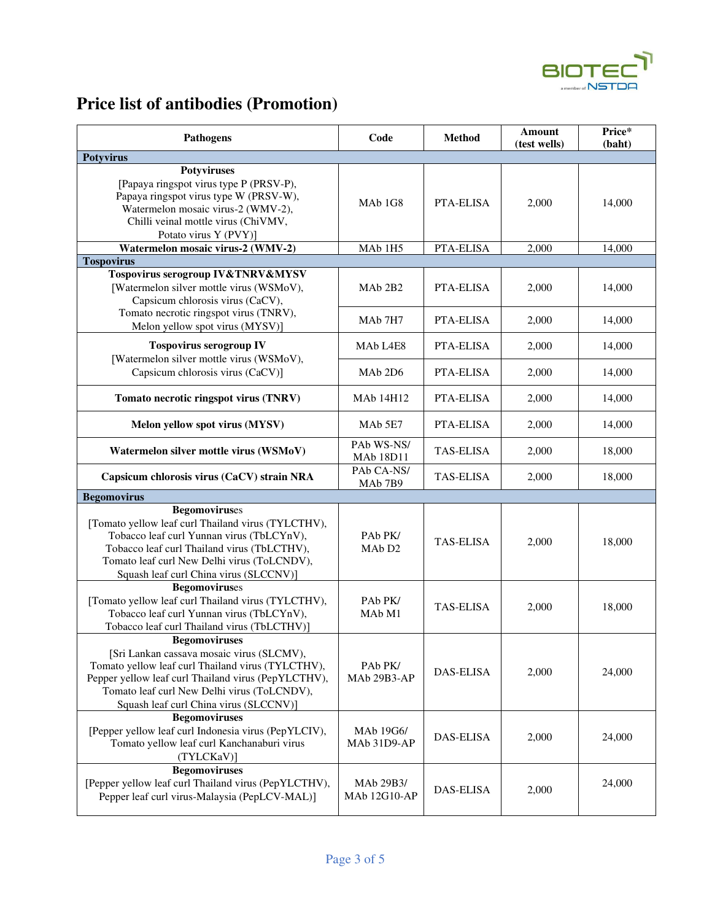

## **Price list of antibodies (Promotion)**

| <b>Pathogens</b>                                                                                                                                                                                                                                                       | Code                                                               | <b>Method</b>    | <b>Amount</b><br>(test wells) | Price*<br>(baht) |
|------------------------------------------------------------------------------------------------------------------------------------------------------------------------------------------------------------------------------------------------------------------------|--------------------------------------------------------------------|------------------|-------------------------------|------------------|
| <b>Potyvirus</b>                                                                                                                                                                                                                                                       |                                                                    |                  |                               |                  |
| <b>Potyviruses</b><br>[Papaya ringspot virus type P (PRSV-P),<br>Papaya ringspot virus type W (PRSV-W),<br>Watermelon mosaic virus-2 (WMV-2),<br>Chilli veinal mottle virus (ChiVMV,<br>Potato virus Y (PVY)]                                                          | MA <sub>b</sub> 1G <sub>8</sub>                                    | PTA-ELISA        | 2,000                         | 14,000           |
| Watermelon mosaic virus-2 (WMV-2)                                                                                                                                                                                                                                      | MAb <sub>1H5</sub>                                                 | PTA-ELISA        | 2,000                         | 14,000           |
| <b>Tospovirus</b>                                                                                                                                                                                                                                                      |                                                                    |                  |                               |                  |
| Tospovirus serogroup IV&TNRV&MYSV<br>[Watermelon silver mottle virus (WSMoV),<br>Capsicum chlorosis virus (CaCV),<br>Tomato necrotic ringspot virus (TNRV),                                                                                                            | MA <sub>b</sub> 2B <sub>2</sub>                                    | <b>PTA-ELISA</b> | 2,000                         | 14,000           |
| Melon yellow spot virus (MYSV)]                                                                                                                                                                                                                                        | MAb <sub>7H7</sub>                                                 | PTA-ELISA        | 2,000                         | 14,000           |
| <b>Tospovirus serogroup IV</b><br>[Watermelon silver mottle virus (WSMoV),                                                                                                                                                                                             | MAb L4E8                                                           | PTA-ELISA        | 2,000                         | 14,000           |
| Capsicum chlorosis virus (CaCV)]                                                                                                                                                                                                                                       | MA <sub>b</sub> 2D <sub>6</sub>                                    | PTA-ELISA        | 2,000                         | 14,000           |
| Tomato necrotic ringspot virus (TNRV)                                                                                                                                                                                                                                  | MAb 14H12                                                          | PTA-ELISA        | 2,000                         | 14,000           |
| Melon yellow spot virus (MYSV)                                                                                                                                                                                                                                         | MA <sub>b</sub> 5E <sub>7</sub>                                    | PTA-ELISA        | 2,000                         | 14,000           |
| Watermelon silver mottle virus (WSMoV)                                                                                                                                                                                                                                 | PAb WS-NS/<br><b>MAb 18D11</b>                                     | <b>TAS-ELISA</b> | 2,000                         | 18,000           |
| Capsicum chlorosis virus (CaCV) strain NRA                                                                                                                                                                                                                             | PAb CA-NS/<br>MAb <sub>7B9</sub>                                   | <b>TAS-ELISA</b> | 2,000                         | 18,000           |
| <b>Begomovirus</b>                                                                                                                                                                                                                                                     |                                                                    |                  |                               |                  |
| <b>Begomoviruses</b><br>[Tomato yellow leaf curl Thailand virus (TYLCTHV),<br>Tobacco leaf curl Yunnan virus (TbLCYnV),<br>Tobacco leaf curl Thailand virus (TbLCTHV),<br>Tomato leaf curl New Delhi virus (ToLCNDV),<br>Squash leaf curl China virus (SLCCNV)]        | PA <sub>b</sub> P <sub>K</sub> /<br>MA <sub>b</sub> D <sub>2</sub> | <b>TAS-ELISA</b> | 2,000                         | 18,000           |
| <b>Begomoviruses</b><br>[Tomato yellow leaf curl Thailand virus (TYLCTHV),<br>Tobacco leaf curl Yunnan virus (TbLCYnV),<br>Tobacco leaf curl Thailand virus (TbLCTHV)]                                                                                                 | PAb PK/<br>MA <sub>b</sub> M <sub>1</sub>                          | <b>TAS-ELISA</b> | 2,000                         | 18,000           |
| <b>Begomoviruses</b><br>[Sri Lankan cassava mosaic virus (SLCMV),<br>Tomato yellow leaf curl Thailand virus (TYLCTHV),<br>Pepper yellow leaf curl Thailand virus (PepYLCTHV),<br>Tomato leaf curl New Delhi virus (ToLCNDV),<br>Squash leaf curl China virus (SLCCNV)] | PAb PK/<br>MAb 29B3-AP                                             | <b>DAS-ELISA</b> | 2,000                         | 24,000           |
| <b>Begomoviruses</b><br>[Pepper yellow leaf curl Indonesia virus (PepYLCIV),<br>Tomato yellow leaf curl Kanchanaburi virus<br>(TYLCKaV)]                                                                                                                               | MAb 19G6/<br>MAb 31D9-AP                                           | <b>DAS-ELISA</b> | 2,000                         | 24,000           |
| <b>Begomoviruses</b><br>[Pepper yellow leaf curl Thailand virus (PepYLCTHV),<br>Pepper leaf curl virus-Malaysia (PepLCV-MAL)]                                                                                                                                          | MAb 29B3/<br>MAb 12G10-AP                                          | <b>DAS-ELISA</b> | 2,000                         | 24,000           |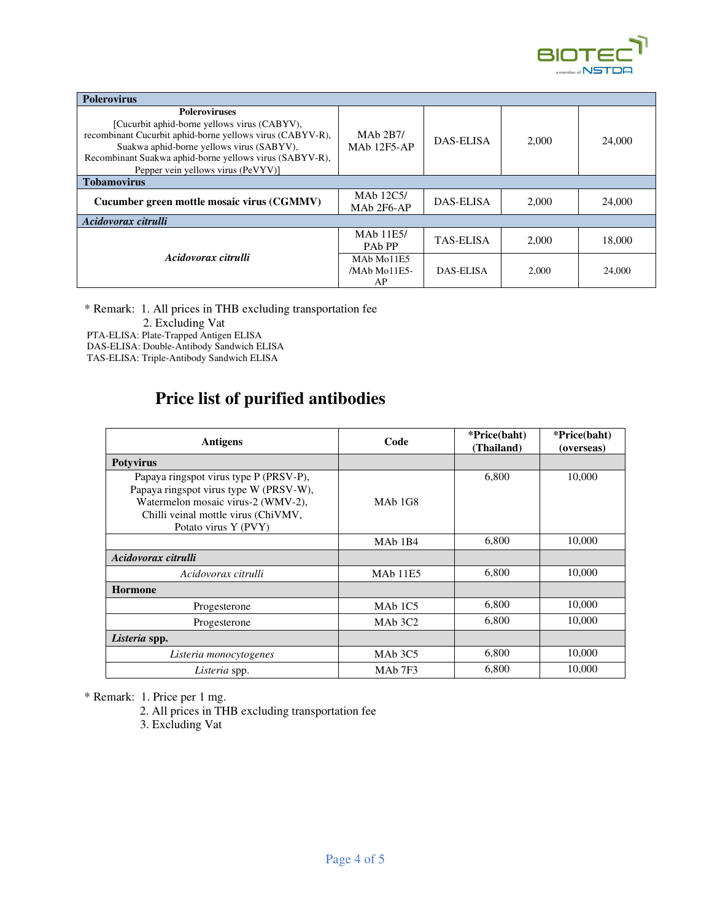

| <b>Polerovirus</b>                                                                                                                                                                                                                                                              |                                                                       |                  |       |        |
|---------------------------------------------------------------------------------------------------------------------------------------------------------------------------------------------------------------------------------------------------------------------------------|-----------------------------------------------------------------------|------------------|-------|--------|
| <b>Poleroviruses</b><br>[Cucurbit aphid-borne yellows virus (CABYV),<br>recombinant Cucurbit aphid-borne yellows virus (CABYV-R),<br>Suakwa aphid-borne yellows virus (SABYV),<br>Recombinant Suakwa aphid-borne yellows virus (SABYV-R),<br>Pepper vein yellows virus (PeVYV)] | MAb 2B7/<br><b>MAb 12F5-AP</b>                                        | DAS-ELISA        | 2.000 | 24,000 |
| <b>Tobamovirus</b>                                                                                                                                                                                                                                                              |                                                                       |                  |       |        |
| Cucumber green mottle mosaic virus (CGMMV)                                                                                                                                                                                                                                      | MA <sub>b</sub> 12C <sub>5</sub> /<br>MAb 2F6-AP                      | DAS-ELISA        | 2.000 | 24,000 |
| Acidovorax citrulli                                                                                                                                                                                                                                                             |                                                                       |                  |       |        |
| Acidovorax citrulli                                                                                                                                                                                                                                                             | MAb 11E5/<br>PA <sub>b</sub> PP                                       | <b>TAS-ELISA</b> | 2.000 | 18,000 |
|                                                                                                                                                                                                                                                                                 | MA <sub>b</sub> M <sub>o</sub> 11E <sub>5</sub><br>/MAb Mo11E5-<br>AP | DAS-ELISA        | 2.000 | 24,000 |

\* Remark: 1. All prices in THB excluding transportation fee

2. Excluding Vat

PTA-ELISA: Plate-Trapped Antigen ELISA

 DAS-ELISA: Double-Antibody Sandwich ELISA TAS-ELISA: Triple-Antibody Sandwich ELISA

### **Price list of purified antibodies**

| <b>Antigens</b>                                                                                                                                                                       | Code                            | *Price(baht)<br>(Thailand) | *Price(baht)<br>(overseas) |
|---------------------------------------------------------------------------------------------------------------------------------------------------------------------------------------|---------------------------------|----------------------------|----------------------------|
| <b>Potyvirus</b>                                                                                                                                                                      |                                 |                            |                            |
| Papaya ringspot virus type P (PRSV-P),<br>Papaya ringspot virus type W (PRSV-W),<br>Watermelon mosaic virus-2 (WMV-2),<br>Chilli veinal mottle virus (ChiVMV,<br>Potato virus Y (PVY) | MA <sub>b</sub> 1G <sub>8</sub> | 6,800                      | 10,000                     |
|                                                                                                                                                                                       | MA <sub>b</sub> 1B <sub>4</sub> | 6,800                      | 10,000                     |
| Acidovorax citrulli                                                                                                                                                                   |                                 |                            |                            |
| Acidovorax citrulli                                                                                                                                                                   | <b>MAb</b> 11E5                 | 6,800                      | 10,000                     |
| <b>Hormone</b>                                                                                                                                                                        |                                 |                            |                            |
| Progesterone                                                                                                                                                                          | MA <sub>b</sub> 1C <sub>5</sub> | 6,800                      | 10,000                     |
| Progesterone                                                                                                                                                                          | MAb 3C2                         | 6,800                      | 10,000                     |
| Listeria spp.                                                                                                                                                                         |                                 |                            |                            |
| Listeria monocytogenes                                                                                                                                                                | MA <sub>b</sub> 3C <sub>5</sub> | 6,800                      | 10,000                     |
| Listeria spp.                                                                                                                                                                         | MA <sub>b</sub> 7F <sub>3</sub> | 6,800                      | 10,000                     |

\* Remark: 1. Price per 1 mg.

2. All prices in THB excluding transportation fee

3. Excluding Vat